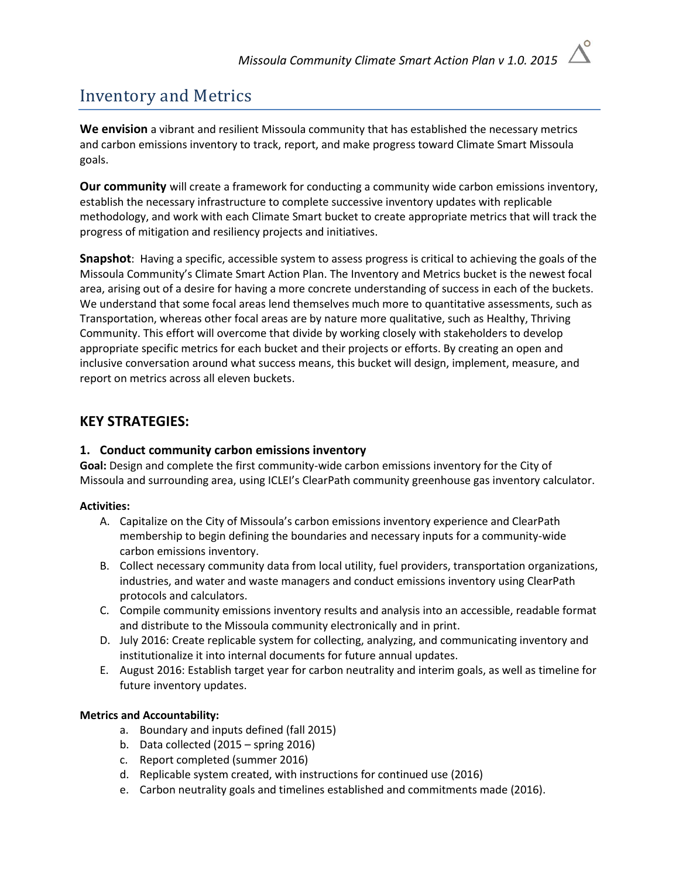# Inventory and Metrics

**We envision** a vibrant and resilient Missoula community that has established the necessary metrics and carbon emissions inventory to track, report, and make progress toward Climate Smart Missoula goals.

**Our community** will create a framework for conducting a community wide carbon emissions inventory, establish the necessary infrastructure to complete successive inventory updates with replicable methodology, and work with each Climate Smart bucket to create appropriate metrics that will track the progress of mitigation and resiliency projects and initiatives.

**Snapshot**: Having a specific, accessible system to assess progress is critical to achieving the goals of the Missoula Community's Climate Smart Action Plan. The Inventory and Metrics bucket is the newest focal area, arising out of a desire for having a more concrete understanding of success in each of the buckets. We understand that some focal areas lend themselves much more to quantitative assessments, such as Transportation, whereas other focal areas are by nature more qualitative, such as Healthy, Thriving Community. This effort will overcome that divide by working closely with stakeholders to develop appropriate specific metrics for each bucket and their projects or efforts. By creating an open and inclusive conversation around what success means, this bucket will design, implement, measure, and report on metrics across all eleven buckets.

# **KEY STRATEGIES:**

#### **1. Conduct community carbon emissions inventory**

**Goal:** Design and complete the first community-wide carbon emissions inventory for the City of Missoula and surrounding area, using ICLEI's ClearPath community greenhouse gas inventory calculator.

#### **Activities:**

- A. Capitalize on the City of Missoula's carbon emissions inventory experience and ClearPath membership to begin defining the boundaries and necessary inputs for a community-wide carbon emissions inventory.
- B. Collect necessary community data from local utility, fuel providers, transportation organizations, industries, and water and waste managers and conduct emissions inventory using ClearPath protocols and calculators.
- C. Compile community emissions inventory results and analysis into an accessible, readable format and distribute to the Missoula community electronically and in print.
- D. July 2016: Create replicable system for collecting, analyzing, and communicating inventory and institutionalize it into internal documents for future annual updates.
- E. August 2016: Establish target year for carbon neutrality and interim goals, as well as timeline for future inventory updates.

#### **Metrics and Accountability:**

- a. Boundary and inputs defined (fall 2015)
- b. Data collected (2015 spring 2016)
- c. Report completed (summer 2016)
- d. Replicable system created, with instructions for continued use (2016)
- e. Carbon neutrality goals and timelines established and commitments made (2016).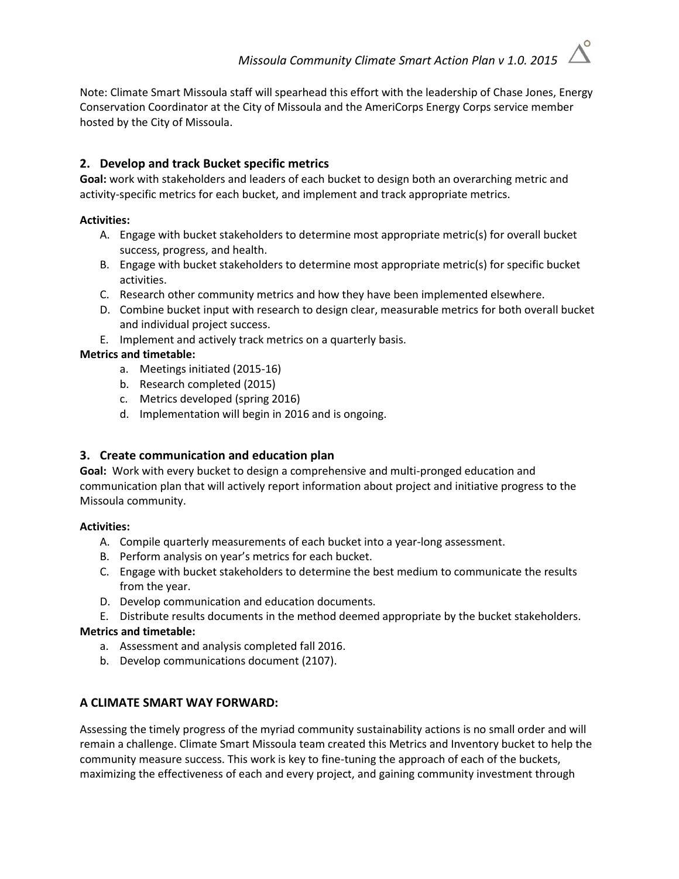Note: Climate Smart Missoula staff will spearhead this effort with the leadership of Chase Jones, Energy Conservation Coordinator at the City of Missoula and the AmeriCorps Energy Corps service member hosted by the City of Missoula.

# **2. Develop and track Bucket specific metrics**

**Goal:** work with stakeholders and leaders of each bucket to design both an overarching metric and activity-specific metrics for each bucket, and implement and track appropriate metrics.

### **Activities:**

- A. Engage with bucket stakeholders to determine most appropriate metric(s) for overall bucket success, progress, and health.
- B. Engage with bucket stakeholders to determine most appropriate metric(s) for specific bucket activities.
- C. Research other community metrics and how they have been implemented elsewhere.
- D. Combine bucket input with research to design clear, measurable metrics for both overall bucket and individual project success.
- E. Implement and actively track metrics on a quarterly basis.

# **Metrics and timetable:**

- a. Meetings initiated (2015-16)
- b. Research completed (2015)
- c. Metrics developed (spring 2016)
- d. Implementation will begin in 2016 and is ongoing.

# **3. Create communication and education plan**

**Goal:** Work with every bucket to design a comprehensive and multi-pronged education and communication plan that will actively report information about project and initiative progress to the Missoula community.

#### **Activities:**

- A. Compile quarterly measurements of each bucket into a year-long assessment.
- B. Perform analysis on year's metrics for each bucket.
- C. Engage with bucket stakeholders to determine the best medium to communicate the results from the year.
- D. Develop communication and education documents.
- E. Distribute results documents in the method deemed appropriate by the bucket stakeholders. **Metrics and timetable:** 
	- a. Assessment and analysis completed fall 2016.
	- b. Develop communications document (2107).

# **A CLIMATE SMART WAY FORWARD:**

Assessing the timely progress of the myriad community sustainability actions is no small order and will remain a challenge. Climate Smart Missoula team created this Metrics and Inventory bucket to help the community measure success. This work is key to fine-tuning the approach of each of the buckets, maximizing the effectiveness of each and every project, and gaining community investment through